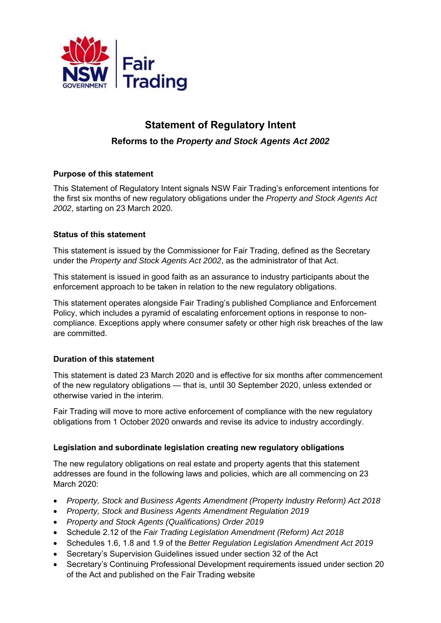

# **Statement of Regulatory Intent Reforms to the** *Property and Stock Agents Act 2002*

## **Purpose of this statement**

This Statement of Regulatory Intent signals NSW Fair Trading's enforcement intentions for the first six months of new regulatory obligations under the *Property and Stock Agents Act 2002*, starting on 23 March 2020.

#### **Status of this statement**

This statement is issued by the Commissioner for Fair Trading, defined as the Secretary under the *Property and Stock Agents Act 2002*, as the administrator of that Act.

This statement is issued in good faith as an assurance to industry participants about the enforcement approach to be taken in relation to the new regulatory obligations.

This statement operates alongside Fair Trading's published Compliance and Enforcement Policy, which includes a pyramid of escalating enforcement options in response to noncompliance. Exceptions apply where consumer safety or other high risk breaches of the law are committed.

## **Duration of this statement**

This statement is dated 23 March 2020 and is effective for six months after commencement of the new regulatory obligations — that is, until 30 September 2020, unless extended or otherwise varied in the interim.

Fair Trading will move to more active enforcement of compliance with the new regulatory obligations from 1 October 2020 onwards and revise its advice to industry accordingly.

#### **Legislation and subordinate legislation creating new regulatory obligations**

The new regulatory obligations on real estate and property agents that this statement addresses are found in the following laws and policies, which are all commencing on 23 March 2020:

- *Property, Stock and Business Agents Amendment (Property Industry Reform) Act 2018*
- *Property, Stock and Business Agents Amendment Regulation 2019*
- *Property and Stock Agents (Qualifications) Order 2019*
- Schedule 2.12 of the *Fair Trading Legislation Amendment (Reform) Act 2018*
- Schedules 1.6, 1.8 and 1.9 of the *Better Regulation Legislation Amendment Act 2019*
- Secretary's Supervision Guidelines issued under section 32 of the Act
- Secretary's Continuing Professional Development requirements issued under section 20 of the Act and published on the Fair Trading website